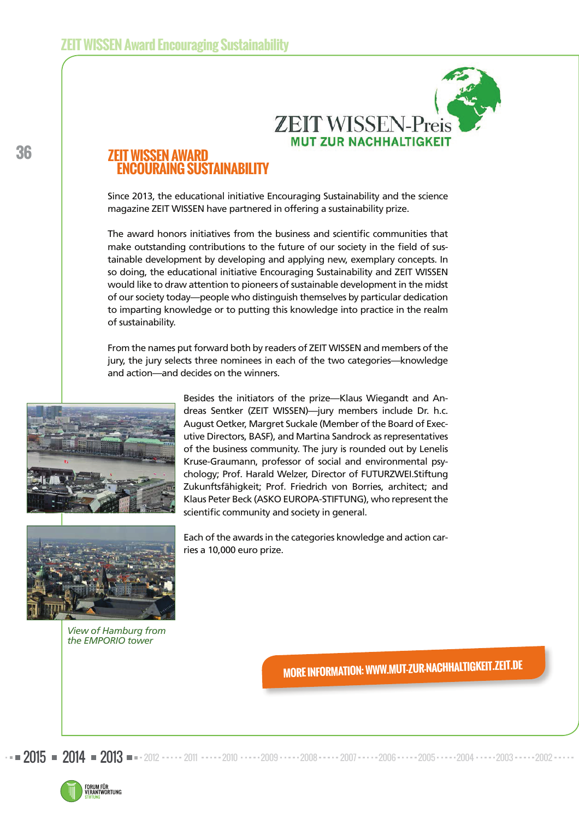

# **ZSEN AWARL ENCOURAING SUSTAINABILITY**

Since 2013, the educational initiative Encouraging Sustainability and the science magazine ZEIT WISSEN have partnered in offering a sustainability prize.

The award honors initiatives from the business and scientific communities that make outstanding contributions to the future of our society in the field of sustainable development by developing and applying new, exemplary concepts. In so doing, the educational initiative Encouraging Sustainability and ZEIT WISSEN would like to draw attention to pioneers of sustainable development in the midst of our society today—people who distinguish themselves by particular dedication to imparting knowledge or to putting this knowledge into practice in the realm of sustainability.

From the names put forward both by readers of ZEIT WISSEN and members of the jury, the jury selects three nominees in each of the two categories—knowledge and action—and decides on the winners.

ries a 10,000 euro prize.



Besides the initiators of the prize—Klaus Wiegandt and Andreas Sentker (ZEIT WISSEN)—jury members include Dr. h.c. August Oetker, Margret Suckale (Member of the Board of Executive Directors, BASF), and Martina Sandrock as representatives of the business community. The jury is rounded out by Lenelis Kruse-Graumann, professor of social and environmental psychology; Prof. Harald Welzer, Director of FUTURZWEI.Stiftung Zukunftsfähigkeit; Prof. Friedrich von Borries, architect; and Klaus Peter Beck (ASKO EUROPA-STIFTUNG), who represent the scientific community and society in general.

Each of the awards in the categories knowledge and action car-



*View of Hamburg from the EMPORIO tower* 

**MORE INFORMATION: WWW.MUT-ZUR-NACHHALTIGKEIT.ZEIT.DE** 

2015 = 2014 = 2013 = 2012 · · · · · 2011 · · · · · 2010 · · · · · 2009 · · · · · 2008 · · · · · 2006 · · · · · 2005 · · · · · 2004 · · · · · 2003 · · · · · 2002

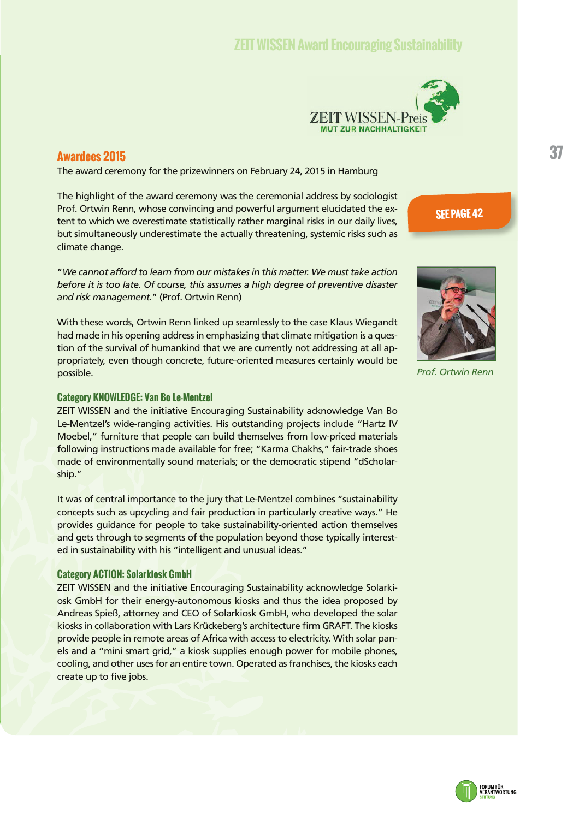# **ZEIT WISSEN Award Encouraging Sustainability**



## **Awardees 2015**

The award ceremony for the prizewinners on February 24, 2015 in Hamburg

The highlight of the award ceremony was the ceremonial address by sociologist Prof. Ortwin Renn, whose convincing and powerful argument elucidated the extent to which we overestimate statistically rather marginal risks in our daily lives, but simultaneously underestimate the actually threatening, systemic risks such as climate change.

"*We cannot afford to learn from our mistakes in this matter. We must take action before it is too late. Of course, this assumes a high degree of preventive disaster and risk management.*" (Prof. Ortwin Renn)

With these words, Ortwin Renn linked up seamlessly to the case Klaus Wiegandt had made in his opening address in emphasizing that climate mitigation is a question of the survival of humankind that we are currently not addressing at all appropriately, even though concrete, future-oriented measures certainly would be possible.

## **Category KNOWLEDGE: Van Bo Le-Mentzel**

ZEIT WISSEN and the initiative Encouraging Sustainability acknowledge Van Bo Le-Mentzel's wide-ranging activities. His outstanding projects include "Hartz IV Moebel," furniture that people can build themselves from low-priced materials following instructions made available for free; "Karma Chakhs," fair-trade shoes made of environmentally sound materials; or the democratic stipend "dScholarship."

It was of central importance to the jury that Le-Mentzel combines "sustainability concepts such as upcycling and fair production in particularly creative ways." He provides guidance for people to take sustainability-oriented action themselves and gets through to segments of the population beyond those typically interested in sustainability with his "intelligent and unusual ideas."

### **Category ACTION: Solarkiosk GmbH**

ZEIT WISSEN and the initiative Encouraging Sustainability acknowledge Solarkiosk GmbH for their energy-autonomous kiosks and thus the idea proposed by Andreas Spieß, attorney and CEO of Solarkiosk GmbH, who developed the solar kiosks in collaboration with Lars Krückeberg's architecture firm GRAFT. The kiosks provide people in remote areas of Africa with access to electricity. With solar panels and a "mini smart grid," a kiosk supplies enough power for mobile phones, cooling, and other uses for an entire town. Operated as franchises, the kiosks each create up to five jobs.





*Prof. Ortwin Renn*

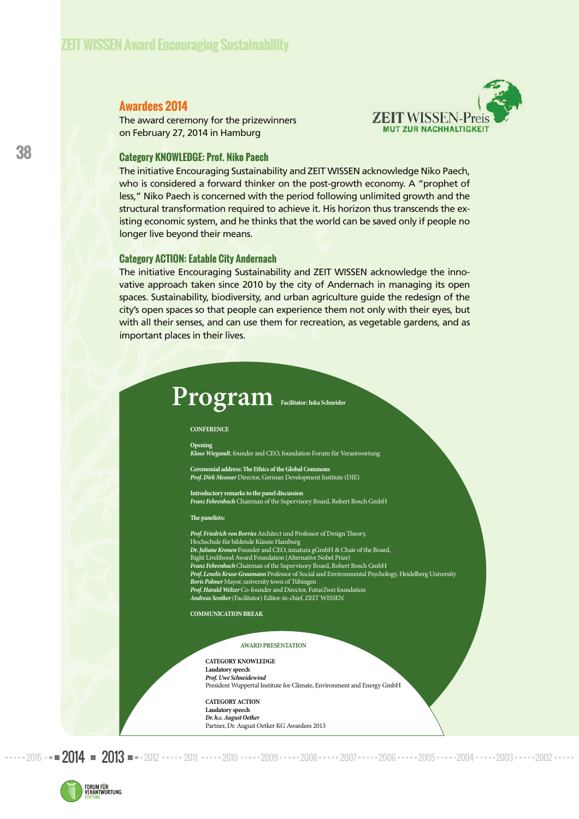# **Awardees 2014**

The award ceremony for the prizewinners on February 27, 2014 in Hamburg



## **Category KNOWLEDGE: Prof. Niko Paech**

The initiative Encouraging Sustainability and ZEIT WISSEN acknowledge Niko Paech, who is considered a forward thinker on the post-growth economy. A "prophet of less," Niko Paech is concerned with the period following unlimited growth and the structural transformation required to achieve it. His horizon thus transcends the existing economic system, and he thinks that the world can be saved only if people no longer live beyond their means.

### **Category ACTION: Eatable City Andernach**

The initiative Encouraging Sustainability and ZEIT WISSEN acknowledge the innovative approach taken since 2010 by the city of Andernach in managing its open spaces. Sustainability, biodiversity, and urban agriculture guide the redesign of the city's open spaces so that people can experience them not only with their eyes, but with all their senses, and can use them for recreation, as vegetable gardens, and as important places in their lives.

# **Program Facilitator: Inka Schneider**

#### **CONFERENCE**

**Opening** 

**Klaus Wiegandt**, founder and CEO, foundation Forum für Verantwortung

**Ceremonial address: !e Ethics of the Global Commons Prof. Dirk Messner** Director, German Development Institute (DIE)

**Introductory remarks to the panel discussion Franz Fehrenbach** Chairman of the Supervisory Board, Robert Bosch GmbH

#### **The panelists:**

- Prof. Friedrich von Borries Architect und Professor of Design Theory,
- Hochschule für bildende Künste Hamburg **Dr. Juliane Kronen** Founder and CEO, innatura gGmbH & Chair of the Board,
- Right Livelihood Award Foundation (Alternative Nobel Prize)
- **Franz Fehrenbach** Chairman of the Supervisory Board, Robert Bosch GmbH
- **Prof. Lenelis Kruse-Graumann** Professor of Social and Environmental Psychology, Heidelberg University **Boris Palmer** Mayor, university town of Tübingen
- **Prof. Harald Welzer** Co-founder and Director, FuturZwei foundation
- **Andreas Sentker** (Facilitator) Editor-in-chief, ZEIT WISSEN

**COMMUNICATION BREAK** 

### **AWARD PRESENTATION**

**CATEGORY KNOWLEDGE Laudatory speech Prof. Uwe Schneidewind**  President Wuppertal Institute for Climate, Environment and Energy GmbH

**CATEGORY ACTION Laudatory speech Dr. h.c. August Oetker**  Partner, Dr. August Oetker KG Awardees 2013

2015 **• • 2014 • 2013 • •** • 2012 • • • • • 2011 • • • • • 2010 • • • • • 2009 • • • • • 2008 • • • • • 2006 • • • • • 2005 • • • • • 2004 • • • • • 2003 • • • • • 2002